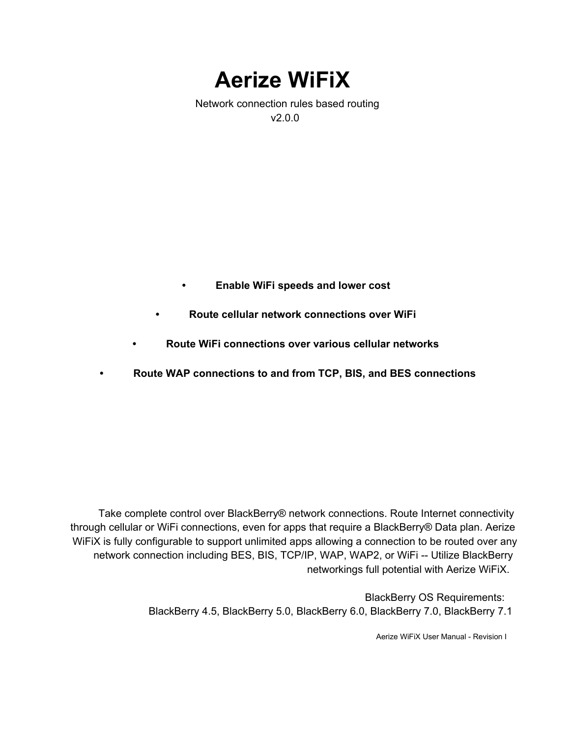**Aerize WiFiX**

Network connection rules based routing v2.0.0

- **• Enable WiFi speeds and lower cost**
- **• Route cellular network connections over WiFi**
- **• Route WiFi connections over various cellular networks**
- **• Route WAP connections to and from TCP, BIS, and BES connections**

Take complete control over BlackBerry® network connections. Route Internet connectivity through cellular or WiFi connections, even for apps that require a BlackBerry® Data plan. Aerize WiFiX is fully configurable to support unlimited apps allowing a connection to be routed over any network connection including BES, BIS, TCP/IP, WAP, WAP2, or WiFi -- Utilize BlackBerry networkings full potential with Aerize WiFiX.

> BlackBerry OS Requirements: BlackBerry 4.5, BlackBerry 5.0, BlackBerry 6.0, BlackBerry 7.0, BlackBerry 7.1

> > Aerize WiFiX User Manual - Revision I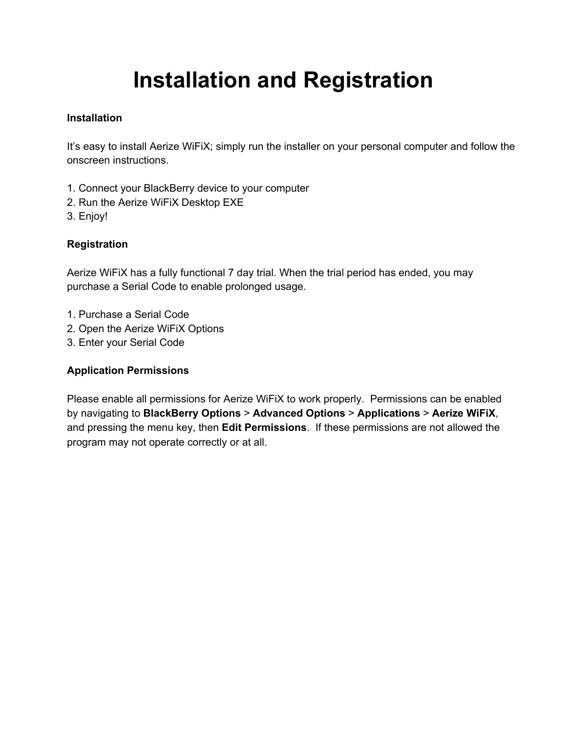# **Installation and Registration**

# **Installation**

It's easy to install Aerize WiFiX; simply run the installer on your personal computer and follow the onscreen instructions.

- 1. Connect your BlackBerry device to your computer
- 2. Run the Aerize WiFiX Desktop EXE
- 3. Enjoy!

# **Registration**

Aerize WiFiX has a fully functional 7 day trial. When the trial period has ended, you may purchase a Serial Code to enable prolonged usage.

- 1. Purchase a Serial Code
- 2. Open the Aerize WiFiX Options
- 3. Enter your Serial Code

# **Application Permissions**

Please enable all permissions for Aerize WiFiX to work properly. Permissions can be enabled by navigating to **BlackBerry Options** > **Advanced Options** > **Applications** > **Aerize WiFiX**, and pressing the menu key, then **Edit Permissions**. If these permissions are not allowed the program may not operate correctly or at all.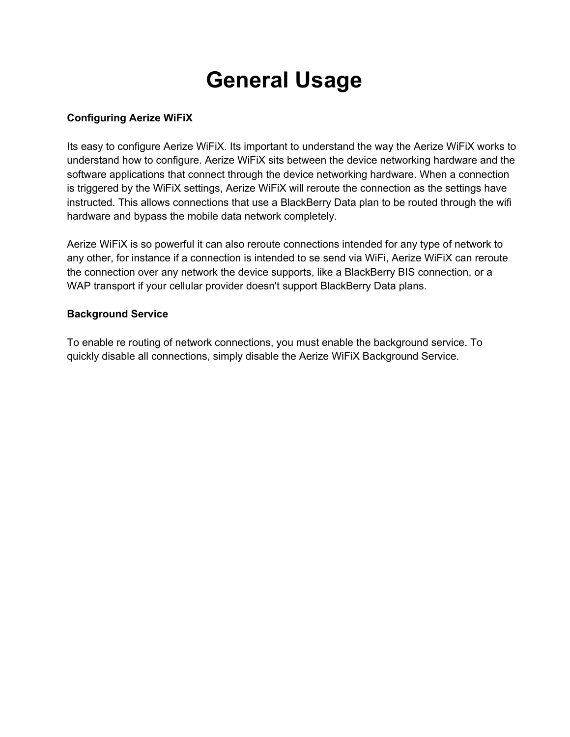# **General Usage**

## **Configuring Aerize WiFiX**

Its easy to configure Aerize WiFiX. Its important to understand the way the Aerize WiFiX works to understand how to configure. Aerize WiFiX sits between the device networking hardware and the software applications that connect through the device networking hardware. When a connection is triggered by the WiFiX settings, Aerize WiFiX will reroute the connection as the settings have instructed. This allows connections that use a BlackBerry Data plan to be routed through the wifi hardware and bypass the mobile data network completely.

Aerize WiFiX is so powerful it can also reroute connections intended for any type of network to any other, for instance if a connection is intended to se send via WiFi, Aerize WiFiX can reroute the connection over any network the device supports, like a BlackBerry BIS connection, or a WAP transport if your cellular provider doesn't support BlackBerry Data plans.

## **Background Service**

To enable re routing of network connections, you must enable the background service. To quickly disable all connections, simply disable the Aerize WiFiX Background Service.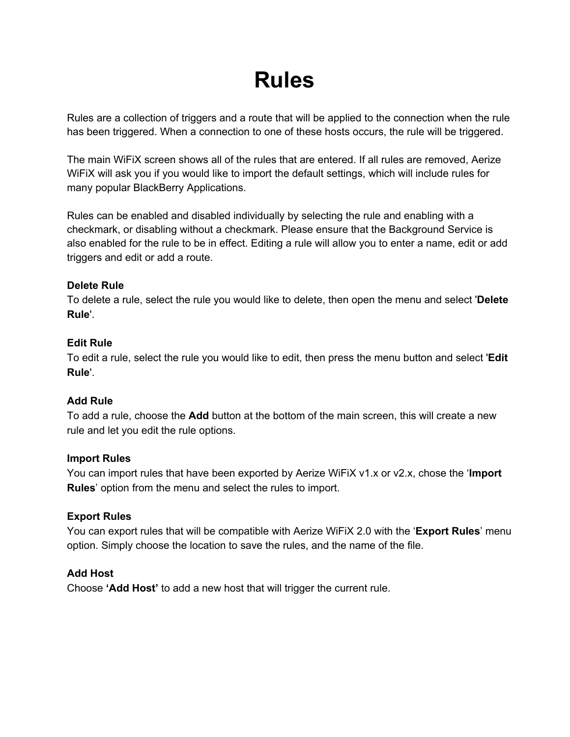# **Rules**

Rules are a collection of triggers and a route that will be applied to the connection when the rule has been triggered. When a connection to one of these hosts occurs, the rule will be triggered.

The main WiFiX screen shows all of the rules that are entered. If all rules are removed, Aerize WiFiX will ask you if you would like to import the default settings, which will include rules for many popular BlackBerry Applications.

Rules can be enabled and disabled individually by selecting the rule and enabling with a checkmark, or disabling without a checkmark. Please ensure that the Background Service is also enabled for the rule to be in effect. Editing a rule will allow you to enter a name, edit or add triggers and edit or add a route.

## **Delete Rule**

To delete a rule, select the rule you would like to delete, then open the menu and select '**Delete Rule**'.

# **Edit Rule**

To edit a rule, select the rule you would like to edit, then press the menu button and select '**Edit Rule**'.

# **Add Rule**

To add a rule, choose the **Add** button at the bottom of the main screen, this will create a new rule and let you edit the rule options.

## **Import Rules**

You can import rules that have been exported by Aerize WiFiX v1.x or v2.x, chose the '**Import Rules**' option from the menu and select the rules to import.

# **Export Rules**

You can export rules that will be compatible with Aerize WiFiX 2.0 with the '**Export Rules**' menu option. Simply choose the location to save the rules, and the name of the file.

# **Add Host**

Choose **'Add Host'** to add a new host that will trigger the current rule.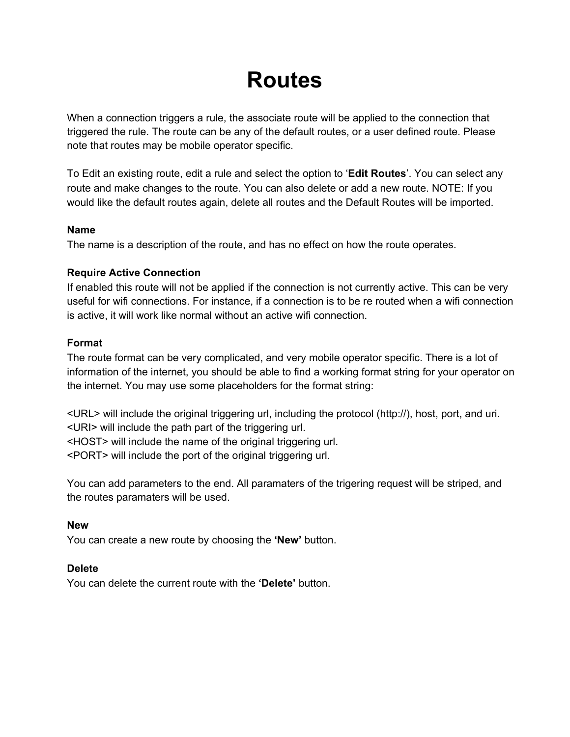# **Routes**

When a connection triggers a rule, the associate route will be applied to the connection that triggered the rule. The route can be any of the default routes, or a user defined route. Please note that routes may be mobile operator specific.

To Edit an existing route, edit a rule and select the option to '**Edit Routes**'. You can select any route and make changes to the route. You can also delete or add a new route. NOTE: If you would like the default routes again, delete all routes and the Default Routes will be imported.

## **Name**

The name is a description of the route, and has no effect on how the route operates.

## **Require Active Connection**

If enabled this route will not be applied if the connection is not currently active. This can be very useful for wifi connections. For instance, if a connection is to be re routed when a wifi connection is active, it will work like normal without an active wifi connection.

## **Format**

The route format can be very complicated, and very mobile operator specific. There is a lot of information of the internet, you should be able to find a working format string for your operator on the internet. You may use some placeholders for the format string:

<URL> will include the original triggering url, including the protocol (http://), host, port, and uri. <URI> will include the path part of the triggering url.

<HOST> will include the name of the original triggering url.

<PORT> will include the port of the original triggering url.

You can add parameters to the end. All paramaters of the trigering request will be striped, and the routes paramaters will be used.

### **New**

You can create a new route by choosing the **'New'** button.

## **Delete**

You can delete the current route with the **'Delete'** button.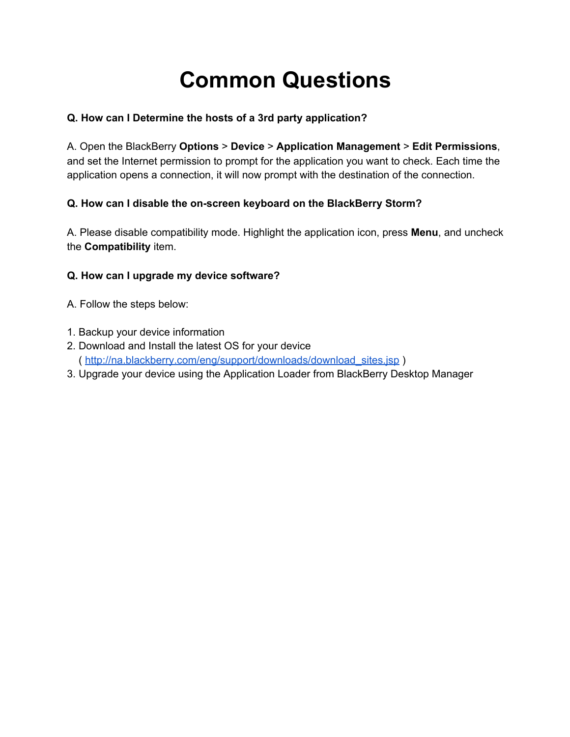# **Common Questions**

# **Q. How can I Determine the hosts of a 3rd party application?**

A. Open the BlackBerry **Options** > **Device** > **Application Management** > **Edit Permissions**, and set the Internet permission to prompt for the application you want to check. Each time the application opens a connection, it will now prompt with the destination of the connection.

# **Q. How can I disable the onscreen keyboard on the BlackBerry Storm?**

A. Please disable compatibility mode. Highlight the application icon, press **Menu**, and uncheck the **Compatibility** item.

## **Q. How can I upgrade my device software?**

- A. Follow the steps below:
- 1. Backup your device information
- 2. Download and Install the latest OS for your device ( [http://na.blackberry.com/eng/support/downloads/download\\_sites.jsp](http://www.google.com/url?q=http%3A%2F%2Fna.blackberry.com%2Feng%2Fsupport%2Fdownloads%2Fdownload_sites.jsp&sa=D&sntz=1&usg=AFQjCNFbbE04iGq0EEgY5BPBlvG2ExXvLw) )
- 3. Upgrade your device using the Application Loader from BlackBerry Desktop Manager